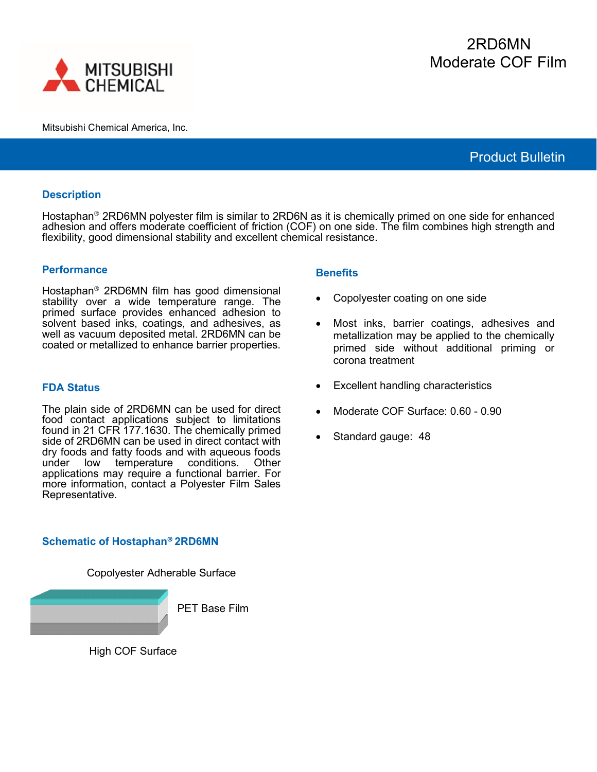

Mitsubishi Chemical America, Inc.

# Product Bulletin

## **Description**

Hostaphan<sup>®</sup> 2RD6MN polyester film is similar to 2RD6N as it is chemically primed on one side for enhanced adhesion and offers moderate coefficient of friction (COF) on one side. The film combines high strength and flexibility, good dimensional stability and excellent chemical resistance.

#### **Performance**

Hostaphan<sup>®</sup> 2RD6MN film has good dimensional stability over a wide temperature range. The primed surface provides enhanced adhesion to solvent based inks, coatings, and adhesives, as well as vacuum deposited metal. 2RD6MN can be coated or metallized to enhance barrier properties.

#### **FDA Status**

The plain side of 2RD6MN can be used for direct food contact applications subject to limitations found in 21 CFR 177.1630. The chemically primed side of 2RD6MN can be used in direct contact with dry foods and fatty foods and with aqueous foods under low temperature conditions. Other applications may require a functional barrier. For more information, contact a Polyester Film Sales Representative.

## **Schematic of Hostaphan 2RD6MN**

Copolyester Adherable Surface



High COF Surface

## **Benefits**

- Copolyester coating on one side
- Most inks, barrier coatings, adhesives and metallization may be applied to the chemically primed side without additional priming or corona treatment
- Excellent handling characteristics
- Moderate COF Surface: 0.60 0.90
- Standard gauge: 48